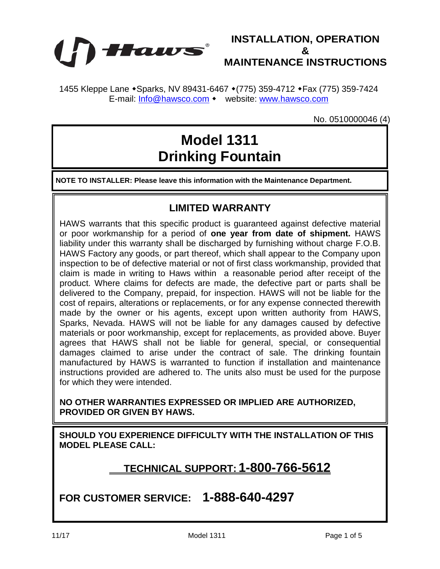



1455 Kleppe Lane • Sparks, NV 89431-6467 • (775) 359-4712 • Fax (775) 359-7424 E-mail: [Info@hawsco.com](mailto:Info@hawsco.com) • website: [www.hawsco.com](http://www.hawsco.com/)

No. 0510000046 (4)

# **Model 1311 Drinking Fountain**

**NOTE TO INSTALLER: Please leave this information with the Maintenance Department.**

#### **LIMITED WARRANTY**

HAWS warrants that this specific product is guaranteed against defective material or poor workmanship for a period of **one year from date of shipment.** HAWS liability under this warranty shall be discharged by furnishing without charge F.O.B. HAWS Factory any goods, or part thereof, which shall appear to the Company upon inspection to be of defective material or not of first class workmanship, provided that claim is made in writing to Haws within a reasonable period after receipt of the product. Where claims for defects are made, the defective part or parts shall be delivered to the Company, prepaid, for inspection. HAWS will not be liable for the cost of repairs, alterations or replacements, or for any expense connected therewith made by the owner or his agents, except upon written authority from HAWS, Sparks, Nevada. HAWS will not be liable for any damages caused by defective materials or poor workmanship, except for replacements, as provided above. Buyer agrees that HAWS shall not be liable for general, special, or consequential damages claimed to arise under the contract of sale. The drinking fountain manufactured by HAWS is warranted to function if installation and maintenance instructions provided are adhered to. The units also must be used for the purpose for which they were intended.

**NO OTHER WARRANTIES EXPRESSED OR IMPLIED ARE AUTHORIZED, PROVIDED OR GIVEN BY HAWS.**

**SHOULD YOU EXPERIENCE DIFFICULTY WITH THE INSTALLATION OF THIS MODEL PLEASE CALL:**

#### **TECHNICAL SUPPORT: 1-800-766-5612**

**FOR CUSTOMER SERVICE: 1-888-640-4297**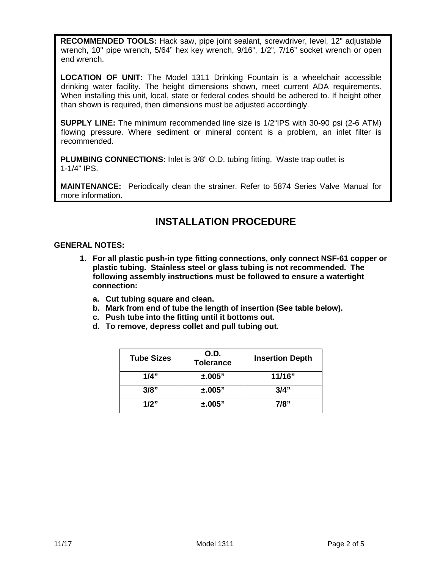**RECOMMENDED TOOLS:** Hack saw, pipe joint sealant, screwdriver, level, 12" adjustable wrench, 10" pipe wrench, 5/64" hex key wrench, 9/16", 1/2", 7/16" socket wrench or open end wrench.

**LOCATION OF UNIT:** The Model 1311 Drinking Fountain is a wheelchair accessible drinking water facility. The height dimensions shown, meet current ADA requirements. When installing this unit, local, state or federal codes should be adhered to. If height other than shown is required, then dimensions must be adjusted accordingly.

**SUPPLY LINE:** The minimum recommended line size is 1/2"IPS with 30-90 psi (2-6 ATM) flowing pressure. Where sediment or mineral content is a problem, an inlet filter is recommended.

**PLUMBING CONNECTIONS:** Inlet is 3/8" O.D. tubing fitting. Waste trap outlet is 1-1/4" IPS.

**MAINTENANCE:** Periodically clean the strainer. Refer to 5874 Series Valve Manual for more information.

### **INSTALLATION PROCEDURE**

#### **GENERAL NOTES:**

- **1. For all plastic push-in type fitting connections, only connect NSF-61 copper or plastic tubing. Stainless steel or glass tubing is not recommended. The following assembly instructions must be followed to ensure a watertight connection:**
	- **a. Cut tubing square and clean.**
	- **b. Mark from end of tube the length of insertion (See table below).**
	- **c. Push tube into the fitting until it bottoms out.**
	- **d. To remove, depress collet and pull tubing out.**

| <b>Tube Sizes</b> | O.D.<br><b>Tolerance</b> | <b>Insertion Depth</b> |  |
|-------------------|--------------------------|------------------------|--|
| 1/4"              | ±.005"                   | 11/16"                 |  |
| 3/8"              | ±.005"                   | 3/4"                   |  |
| 1/2"              | ±.005"                   | 7/8"                   |  |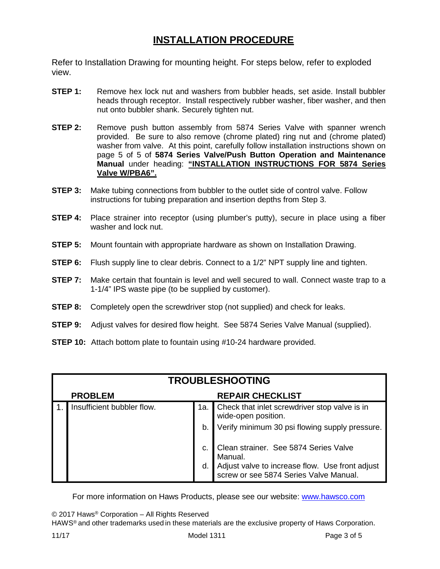## **INSTALLATION PROCEDURE**

Refer to Installation Drawing for mounting height. For steps below, refer to exploded view.

- **STEP 1:** Remove hex lock nut and washers from bubbler heads, set aside. Install bubbler heads through receptor. Install respectively rubber washer, fiber washer, and then nut onto bubbler shank. Securely tighten nut.
- **STEP 2:** Remove push button assembly from 5874 Series Valve with spanner wrench provided. Be sure to also remove (chrome plated) ring nut and (chrome plated) washer from valve. At this point, carefully follow installation instructions shown on page 5 of 5 of **5874 Series Valve/Push Button Operation and Maintenance Manual** under heading: **"INSTALLATION INSTRUCTIONS FOR 5874 Series Valve W/PBA6".**
- **STEP 3:** Make tubing connections from bubbler to the outlet side of control valve. Follow instructions for tubing preparation and insertion depths from Step 3.
- **STEP 4:** Place strainer into receptor (using plumber's putty), secure in place using a fiber washer and lock nut.
- **STEP 5:** Mount fountain with appropriate hardware as shown on Installation Drawing.
- **STEP 6:** Flush supply line to clear debris. Connect to a 1/2" NPT supply line and tighten.
- **STEP 7:** Make certain that fountain is level and well secured to wall. Connect waste trap to a 1-1/4" IPS waste pipe (to be supplied by customer).
- **STEP 8:** Completely open the screwdriver stop (not supplied) and check for leaks.
- **STEP 9:** Adjust valves for desired flow height. See 5874 Series Valve Manual (supplied).
- **STEP 10:** Attach bottom plate to fountain using #10-24 hardware provided.

| <b>TROUBLESHOOTING</b> |                            |                         |                                                                                           |  |
|------------------------|----------------------------|-------------------------|-------------------------------------------------------------------------------------------|--|
|                        | <b>PROBLEM</b>             | <b>REPAIR CHECKLIST</b> |                                                                                           |  |
|                        | Insufficient bubbler flow. |                         | 1a. Check that inlet screwdriver stop valve is in<br>wide-open position.                  |  |
|                        |                            | b.                      | Verify minimum 30 psi flowing supply pressure.                                            |  |
|                        |                            | C.                      | Clean strainer. See 5874 Series Valve<br>Manual.                                          |  |
|                        |                            | d.                      | Adjust valve to increase flow. Use front adjust<br>screw or see 5874 Series Valve Manual. |  |

For more information on Haws Products, please see our website: [www.hawsco.com](http://www.hawsco.com/)

© 2017 Haws® Corporation – All Rights Reserved

HAWS® and other trademarks used in these materials are the exclusive property of Haws Corporation.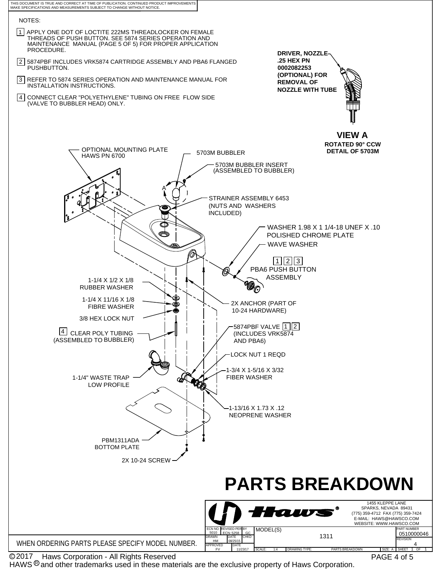

© 2017 Naws Corporation - All Rights Reserved

HAWS  $@$  and other trademarks used in these materials are the exclusive property of Haws Corporation.